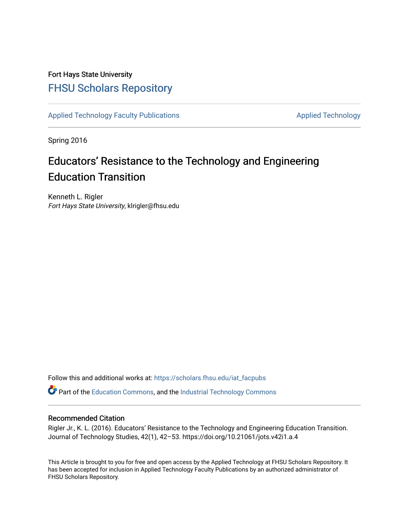## Fort Hays State University [FHSU Scholars Repository](https://scholars.fhsu.edu/)

[Applied Technology Faculty Publications](https://scholars.fhsu.edu/iat_facpubs) **Applied Technology** Applied Technology

Spring 2016

# Educators' Resistance to the Technology and Engineering Education Transition

Kenneth L. Rigler Fort Hays State University, klrigler@fhsu.edu

Follow this and additional works at: [https://scholars.fhsu.edu/iat\\_facpubs](https://scholars.fhsu.edu/iat_facpubs?utm_source=scholars.fhsu.edu%2Fiat_facpubs%2F2&utm_medium=PDF&utm_campaign=PDFCoverPages)

Part of the [Education Commons](http://network.bepress.com/hgg/discipline/784?utm_source=scholars.fhsu.edu%2Fiat_facpubs%2F2&utm_medium=PDF&utm_campaign=PDFCoverPages), and the [Industrial Technology Commons](http://network.bepress.com/hgg/discipline/1062?utm_source=scholars.fhsu.edu%2Fiat_facpubs%2F2&utm_medium=PDF&utm_campaign=PDFCoverPages) 

## Recommended Citation

Rigler Jr., K. L. (2016). Educators' Resistance to the Technology and Engineering Education Transition. Journal of Technology Studies, 42(1), 42–53. https://doi.org/10.21061/jots.v42i1.a.4

This Article is brought to you for free and open access by the Applied Technology at FHSU Scholars Repository. It has been accepted for inclusion in Applied Technology Faculty Publications by an authorized administrator of FHSU Scholars Repository.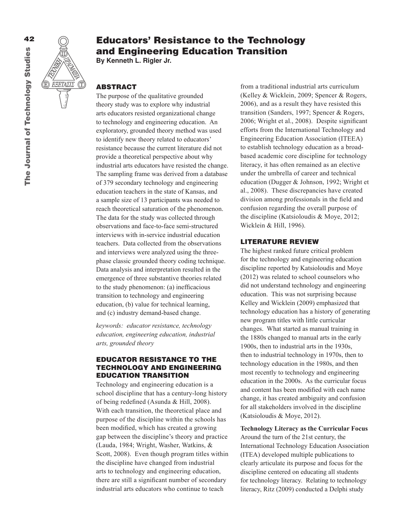

## Educators' Resistance to the Technology and Engineering Education Transition

**By Kenneth L. Rigler Jr.**

## ABSTRACT

The purpose of the qualitative grounded theory study was to explore why industrial arts educators resisted organizational change to technology and engineering education. An exploratory, grounded theory method was used to identify new theory related to educators' resistance because the current literature did not provide a theoretical perspective about why industrial arts educators have resisted the change. The sampling frame was derived from a database of 379 secondary technology and engineering education teachers in the state of Kansas, and a sample size of 13 participants was needed to reach theoretical saturation of the phenomenon. The data for the study was collected through observations and face-to-face semi-structured interviews with in-service industrial education teachers. Data collected from the observations and interviews were analyzed using the threephase classic grounded theory coding technique. Data analysis and interpretation resulted in the emergence of three substantive theories related to the study phenomenon: (a) inefficacious transition to technology and engineering education, (b) value for technical learning, and (c) industry demand-based change.

*keywords: educator resistance, technology education, engineering education, industrial arts, grounded theory*

## EDUCATOR RESISTANCE TO THE TECHNOLOGY AND ENGINEERING EDUCATION TRANSITION

Technology and engineering education is a school discipline that has a century-long history of being redefined (Asunda & Hill, 2008). With each transition, the theoretical place and purpose of the discipline within the schools has been modified, which has created a growing gap between the discipline's theory and practice (Lauda, 1984; Wright, Washer, Watkins, & Scott, 2008). Even though program titles within the discipline have changed from industrial arts to technology and engineering education, there are still a significant number of secondary industrial arts educators who continue to teach

from a traditional industrial arts curriculum (Kelley & Wicklein, 2009; Spencer & Rogers, 2006), and as a result they have resisted this transition (Sanders, 1997; Spencer & Rogers, 2006; Wright et al., 2008). Despite significant efforts from the International Technology and Engineering Education Association (ITEEA) to establish technology education as a broadbased academic core discipline for technology literacy, it has often remained as an elective under the umbrella of career and technical education (Dugger & Johnson, 1992; Wright et al., 2008). These discrepancies have created division among professionals in the field and confusion regarding the overall purpose of the discipline (Katsioloudis & Moye, 2012; Wicklein & Hill, 1996).

## LITERATURE REVIEW

The highest ranked future critical problem for the technology and engineering education discipline reported by Katsioloudis and Moye (2012) was related to school counselors who did not understand technology and engineering education. This was not surprising because Kelley and Wicklein (2009) emphasized that technology education has a history of generating new program titles with little curricular changes. What started as manual training in the 1880s changed to manual arts in the early 1900s, then to industrial arts in the 1930s, then to industrial technology in 1970s, then to technology education in the 1980s, and then most recently to technology and engineering education in the 2000s. As the curricular focus and content has been modified with each name change, it has created ambiguity and confusion for all stakeholders involved in the discipline (Katsioloudis & Moye, 2012).

**Technology Literacy as the Curricular Focus** Around the turn of the 21st century, the International Technology Education Association (ITEA) developed multiple publications to clearly articulate its purpose and focus for the discipline centered on educating all students for technology literacy. Relating to technology literacy, Ritz (2009) conducted a Delphi study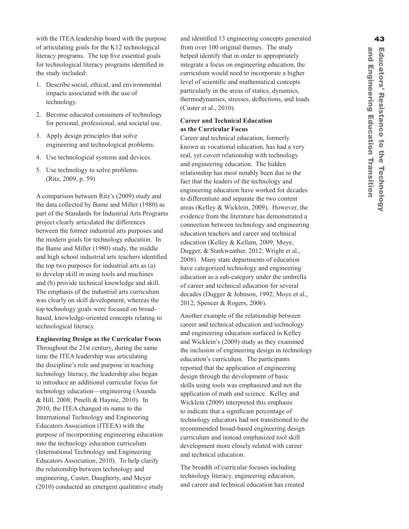with the ITEA leadership board with the purpose and identified 13 engineering concepts generated **43** of articulating goals for the K12 technological literacy programs. The top five essential goals for technological literacy programs identified in the study included:

- 1. Describe social, ethical, and environmental impacts associated with the use of technology.
- 2. Become educated consumers of technology for personal, professional, and societal use.
- 3. Apply design principles that solve engineering and technological problems.
- 4. Use technological systems and devices.
- 5. Use technology to solve problems. (Ritz, 2009, p. 59)

A comparison between Ritz's (2009) study and the data collected by Bame and Miller (1980) as part of the Standards for Industrial Arts Programs project clearly articulated the differences between the former industrial arts purposes and the modern goals for technology education. In the Bame and Miller (1980) study, the middle and high school industrial arts teachers identified the top two purposes for industrial arts as (a) to develop skill in using tools and machines and (b) provide technical knowledge and skill. The emphasis of the industrial arts curriculum was clearly on skill development, whereas the top technology goals were focused on broadbased, knowledge-oriented concepts relating to technological literacy.

**Engineering Design as the Curricular Focus**

Throughout the 21st century, during the same time the ITEA leadership was articulating the discipline's role and purpose in teaching technology literacy, the leadership also began to introduce an additional curricular focus for technology education—engineering (Asunda & Hill, 2008; Pinelli & Haynie, 2010). In 2010, the ITEA changed its name to the International Technology and Engineering Educators Association (ITEEA) with the purpose of incorporating engineering education into the technology education curriculum (International Technology and Engineering Educators Association, 2010). To help clarify the relationship between technology and engineering, Custer, Daugherty, and Meyer (2010) conducted an emergent qualitative study

from over 100 original themes. The study helped identify that in order to appropriately integrate a focus on engineering education, the curriculum would need to incorporate a higher level of scientific and mathematical concepts particularly in the areas of statics, dynamics, thermodynamics, stresses, deflections, and loads (Custer et al., 2010).

## **Career and Technical Education as the Curricular Focus**

Career and technical education, formerly known as vocational education, has had a very real, yet covert relationship with technology and engineering education. The hidden relationship has most notably been due to the fact that the leaders of the technology and engineering education have worked for decades to differentiate and separate the two content areas (Kelley & Wicklein, 2009). However, the evidence from the literature has demonstrated a connection between technology and engineering education teachers and career and technical education (Kelley & Kellam, 2009; Moye, Dugger, & Starkweather, 2012; Wright et al., 2008). Many state departments of education have categorized technology and engineering education as a sub-category under the umbrella of career and technical education for several decades (Dugger & Johnson, 1992; Moye et al., 2012; Spencer & Rogers, 2006).

Another example of the relationship between career and technical education and technology and engineering education surfaced in Kelley and Wicklein's (2009) study as they examined the inclusion of engineering design in technology education's curriculum. The participants reported that the application of engineering design through the development of basic skills using tools was emphasized and not the application of math and science. Kelley and Wicklein (2009) interpreted this emphasis to indicate that a significant percentage of technology educators had not transitioned to the recommended broad-based engineering design curriculum and instead emphasized tool skill development more closely related with career and technical education.

The breadth of curricular focuses including technology literacy, engineering education, and career and technical education has created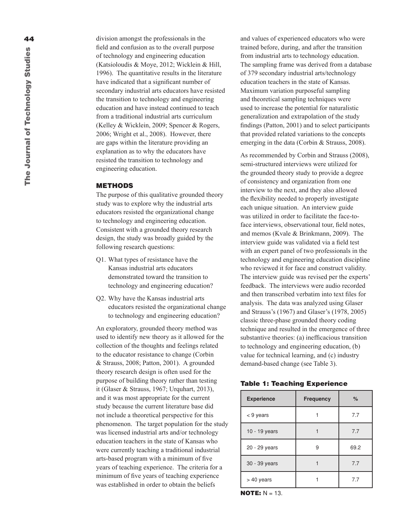division amongst the professionals in the field and confusion as to the overall purpose of technology and engineering education (Katsioloudis & Moye, 2012; Wicklein & Hill, 1996). The quantitative results in the literature have indicated that a significant number of secondary industrial arts educators have resisted the transition to technology and engineering education and have instead continued to teach from a traditional industrial arts curriculum (Kelley & Wicklein, 2009; Spencer & Rogers, 2006; Wright et al., 2008). However, there are gaps within the literature providing an explanation as to why the educators have resisted the transition to technology and engineering education.

#### METHODS

The purpose of this qualitative grounded theory study was to explore why the industrial arts educators resisted the organizational change to technology and engineering education. Consistent with a grounded theory research design, the study was broadly guided by the following research questions:

- Q1. What types of resistance have the Kansas industrial arts educators demonstrated toward the transition to technology and engineering education?
- Q2. Why have the Kansas industrial arts educators resisted the organizational change to technology and engineering education?

An exploratory, grounded theory method was used to identify new theory as it allowed for the collection of the thoughts and feelings related to the educator resistance to change (Corbin & Strauss, 2008; Patton, 2001). A grounded theory research design is often used for the purpose of building theory rather than testing it (Glaser & Strauss, 1967; Urquhart, 2013), and it was most appropriate for the current study because the current literature base did not include a theoretical perspective for this phenomenon. The target population for the study was licensed industrial arts and/or technology education teachers in the state of Kansas who were currently teaching a traditional industrial arts-based program with a minimum of five years of teaching experience. The criteria for a minimum of five years of teaching experience was established in order to obtain the beliefs

and values of experienced educators who were trained before, during, and after the transition from industrial arts to technology education. The sampling frame was derived from a database of 379 secondary industrial arts/technology education teachers in the state of Kansas. Maximum variation purposeful sampling and theoretical sampling techniques were used to increase the potential for naturalistic generalization and extrapolation of the study findings (Patton, 2001) and to select participants that provided related variations to the concepts emerging in the data (Corbin & Strauss, 2008).

As recommended by Corbin and Strauss (2008), semi-structured interviews were utilized for the grounded theory study to provide a degree of consistency and organization from one interview to the next, and they also allowed the flexibility needed to properly investigate each unique situation. An interview guide was utilized in order to facilitate the face-toface interviews, observational tour, field notes, and memos (Kvale & Brinkmann, 2009). The interview guide was validated via a field test with an expert panel of two professionals in the technology and engineering education discipline who reviewed it for face and construct validity. The interview guide was revised per the experts' feedback. The interviews were audio recorded and then transcribed verbatim into text files for analysis. The data was analyzed using Glaser and Strauss's (1967) and Glaser's (1978, 2005) classic three-phase grounded theory coding technique and resulted in the emergence of three substantive theories: (a) inefficacious transition to technology and engineering education, (b) value for technical learning, and (c) industry demand-based change (see Table 3).

Table 1: Teaching Experience

| <b>Experience</b> | <b>Frequency</b> | $\%$ |
|-------------------|------------------|------|
| < 9 years         |                  | 7.7  |
| 10 - 19 years     |                  | 7.7  |
| 20 - 29 years     | 9                | 69.2 |
| 30 - 39 years     |                  | 7.7  |
| > 40 years        |                  | 7.7  |

**NOTE:**  $N = 13$ .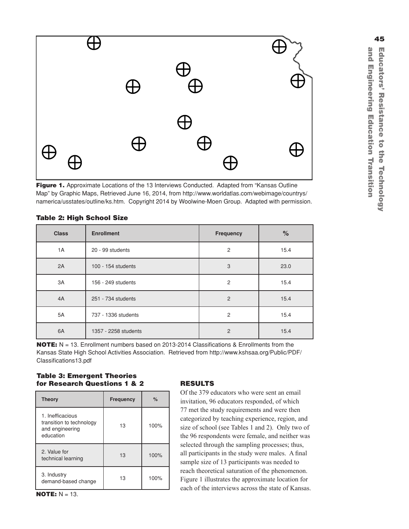

Figure 1. Approximate Locations of the 13 Interviews Conducted. Adapted from "Kansas Outline Map" by Graphic Maps, Retrieved June 16, 2014, from http://www.worldatlas.com/webimage/countrys/ namerica/usstates/outline/ks.htm. Copyright 2014 by Woolwine-Moen Group. Adapted with permission.

| <b>Class</b> | <b>Enrollment</b>    | <b>Frequency</b> | $\%$ |
|--------------|----------------------|------------------|------|
| 1A           | 20 - 99 students     | 2                | 15.4 |
| 2A           | 100 - 154 students   | 3                | 23.0 |
| 3A           | 156 - 249 students   | 2                | 15.4 |
| 4A           | 251 - 734 students   | $\overline{2}$   | 15.4 |
| 5A           | 737 - 1336 students  | 2                | 15.4 |
| 6A           | 1357 - 2258 students | $\overline{2}$   | 15.4 |

## Table 2: High School Size

**NOTE:** N = 13. Enrollment numbers based on 2013-2014 Classifications & Enrollments from the Kansas State High School Activities Association. Retrieved from http://www.kshsaa.org/Public/PDF/ Classifications13.pdf

## Table 3: Emergent Theories for Research Questions 1 & 2

| <b>Theory</b>                                                                | <b>Frequency</b> | $\%$ |
|------------------------------------------------------------------------------|------------------|------|
| 1. Inefficacious<br>transition to technology<br>and engineering<br>education | 13               | 100% |
| 2. Value for<br>technical learning                                           | 13               | 100% |
| 3. Industry<br>demand-based change                                           | 13               | 100% |

**NOTE:**  $N = 13$ .

## RESULTS

Of the 379 educators who were sent an email invitation, 96 educators responded, of which 77 met the study requirements and were then categorized by teaching experience, region, and size of school (see Tables 1 and 2). Only two of the 96 respondents were female, and neither was selected through the sampling processes; thus, all participants in the study were males. A final sample size of 13 participants was needed to reach theoretical saturation of the phenomenon. Figure 1 illustrates the approximate location for each of the interviews across the state of Kansas.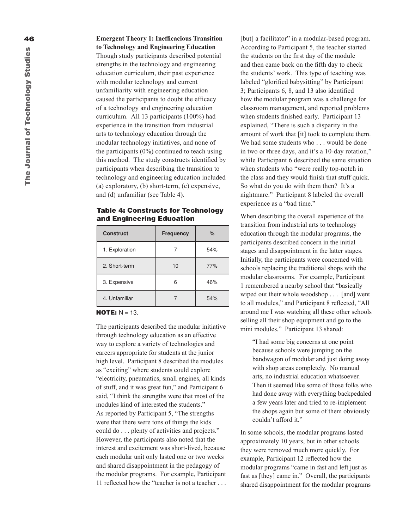**Emergent Theory 1: Inefficacious Transition to Technology and Engineering Education** 

Though study participants described potential strengths in the technology and engineering education curriculum, their past experience with modular technology and current unfamiliarity with engineering education caused the participants to doubt the efficacy of a technology and engineering education curriculum. All 13 participants (100%) had experience in the transition from industrial arts to technology education through the modular technology initiatives, and none of the participants  $(0\%)$  continued to teach using this method. The study constructs identified by participants when describing the transition to technology and engineering education included (a) exploratory, (b) short-term, (c) expensive, and (d) unfamiliar (see Table 4).

### Table 4: Constructs for Technology and Engineering Education

| <b>Construct</b> | <b>Frequency</b> | $\%$ |
|------------------|------------------|------|
| 1. Exploration   |                  | 54%  |
| 2. Short-term    | 10               | 77%  |
| 3. Expensive     | ิค               | 46%  |
| 4. Unfamiliar    |                  | 54%  |

## **NOTE:**  $N = 13$ .

The participants described the modular initiative through technology education as an effective way to explore a variety of technologies and careers appropriate for students at the junior high level. Participant 8 described the modules as "exciting" where students could explore "electricity, pneumatics, small engines, all kinds of stuff, and it was great fun," and Participant 6 said, "I think the strengths were that most of the modules kind of interested the students." As reported by Participant 5, "The strengths were that there were tons of things the kids could do . . . plenty of activities and projects." However, the participants also noted that the interest and excitement was short-lived, because each modular unit only lasted one or two weeks and shared disappointment in the pedagogy of the modular programs. For example, Participant 11 reflected how the "teacher is not a teacher . . .

[but] a facilitator" in a modular-based program. According to Participant 5, the teacher started the students on the first day of the module and then came back on the fifth day to check the students' work. This type of teaching was labeled "glorified babysitting" by Participant 3; Participants 6, 8, and 13 also identified how the modular program was a challenge for classroom management, and reported problems when students finished early. Participant 13 explained, "There is such a disparity in the amount of work that [it] took to complete them. We had some students who . . . would be done in two or three days, and it's a 10-day rotation," while Participant 6 described the same situation when students who "were really top-notch in the class and they would finish that stuff quick. So what do you do with them then? It's a nightmare." Participant 8 labeled the overall experience as a "bad time."

When describing the overall experience of the transition from industrial arts to technology education through the modular programs, the participants described concern in the initial stages and disappointment in the latter stages. Initially, the participants were concerned with schools replacing the traditional shops with the modular classrooms. For example, Participant 1 remembered a nearby school that "basically wiped out their whole woodshop . . . [and] went to all modules," and Participant 8 reflected, "All around me I was watching all these other schools selling all their shop equipment and go to the mini modules." Participant 13 shared:

"I had some big concerns at one point because schools were jumping on the bandwagon of modular and just doing away with shop areas completely. No manual arts, no industrial education whatsoever. Then it seemed like some of those folks who had done away with everything backpedaled a few years later and tried to re-implement the shops again but some of them obviously couldn't afford it."

In some schools, the modular programs lasted approximately 10 years, but in other schools they were removed much more quickly. For example, Participant 12 reflected how the modular programs "came in fast and left just as fast as [they] came in." Overall, the participants shared disappointment for the modular programs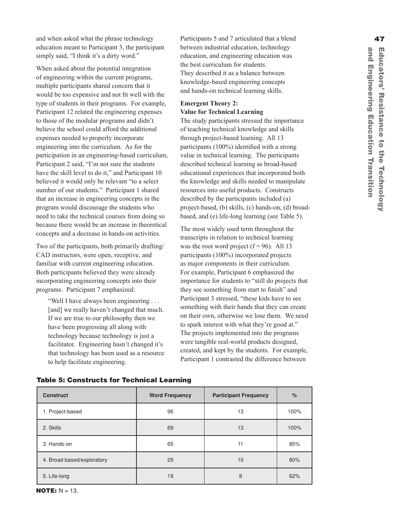and when asked what the phrase technology **Exercise 27** Participants 5 and 7 articulated that a blend **47** education meant to Participant 3, the participant simply said, "I think it's a dirty word."

When asked about the potential integration of engineering within the current programs, multiple participants shared concern that it would be too expensive and not fit well with the type of students in their programs. For example, Participant 12 related the engineering expenses to those of the modular programs and didn't believe the school could afford the additional expenses needed to properly incorporate engineering into the curriculum. As for the participation in an engineering-based curriculum, Participant 2 said, "I'm not sure the students have the skill level to do it," and Participant 10 believed it would only be relevant "to a select number of our students." Participant 1 shared that an increase in engineering concepts in the program would discourage the students who need to take the technical courses from doing so because there would be an increase in theoretical concepts and a decrease in hands-on activities.

Two of the participants, both primarily drafting/ CAD instructors, were open, receptive, and familiar with current engineering education. Both participants believed they were already incorporating engineering concepts into their programs. Participant 7 emphasized:

"Well I have always been engineering . . . [and] we really haven't changed that much. If we are true to our philosophy then we have been progressing all along with technology because technology is just a facilitator. Engineering hasn't changed it's that technology has been used as a resource to help facilitate engineering.

Participants 5 and 7 articulated that a blend between industrial education, technology education, and engineering education was the best curriculum for students. They described it as a balance between knowledge-based engineering concepts and hands-on technical learning skills.

## **Emergent Theory 2: Value for Technical Learning**

The study participants stressed the importance of teaching technical knowledge and skills through project-based learning. All 13 participants (100%) identified with a strong value in technical learning. The participants described technical learning as broad-based educational experiences that incorporated both the knowledge and skills needed to manipulate resources into useful products. Constructs described by the participants included (a) project-based, (b) skills, (c) hands-on, (d) broadbased, and (e) life-long learning (see Table 5).

The most widely used term throughout the transcripts in relation to technical learning was the root word project  $(f = 96)$ . All 13 participants (100%) incorporated projects as major components in their curriculum. For example, Participant 6 emphasized the importance for students to "still do projects that they see something from start to finish" and Participant 3 stressed, "these kids have to see something with their hands that they can create on their own, otherwise we lose them. We need to spark interest with what they're good at." The projects implemented into the programs were tangible real-world products designed, created, and kept by the students. For example, Participant 1 contrasted the difference between

|  | <b>Table 5: Constructs for Technical Learning</b> |  |  |
|--|---------------------------------------------------|--|--|
|  |                                                   |  |  |

| <b>Construct</b>           | <b>Word Frequency</b> | <b>Participant Frequency</b> | %    |
|----------------------------|-----------------------|------------------------------|------|
| 1. Project-based           | 96                    | 13                           | 100% |
| 2. Skills                  | 69                    | 13                           | 100% |
| 3. Hands-on                | 65                    | 11                           | 85%  |
| 4. Broad-based/exploratory | 29                    | 10                           | 80%  |
| 5. Life-long               | 19                    | 8                            | 62%  |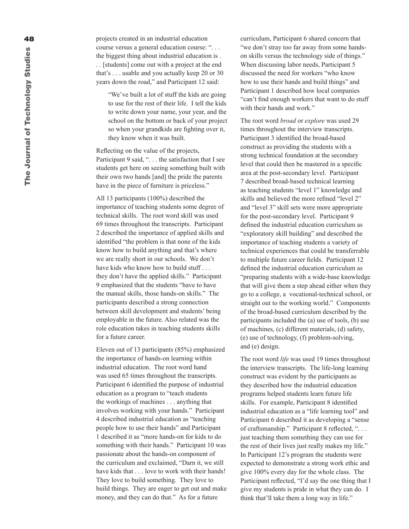projects created in an industrial education course versus a general education course: ". . . the biggest thing about industrial education is . . . [students] come out with a project at the end that's . . . usable and you actually keep 20 or 30 years down the road," and Participant 12 said:

"We've built a lot of stuff the kids are going to use for the rest of their life. I tell the kids to write down your name, your year, and the school on the bottom or back of your project so when your grandkids are fighting over it, they know when it was built.

Reflecting on the value of the projects, Participant 9 said, "... the satisfaction that I see students get here on seeing something built with their own two hands [and] the pride the parents have in the piece of furniture is priceless."

All 13 participants (100%) described the importance of teaching students some degree of technical skills. The root word skill was used 69 times throughout the transcripts. Participant 2 described the importance of applied skills and identified "the problem is that none of the kids know how to build anything and that's where we are really short in our schools. We don't have kids who know how to build stuff... they don't have the applied skills." Participant 9 emphasized that the students "have to have the manual skills, those hands-on skills." The participants described a strong connection between skill development and students' being employable in the future. Also related was the role education takes in teaching students skills for a future career.

Eleven out of 13 participants (85%) emphasized the importance of hands-on learning within industrial education. The root word hand was used 65 times throughout the transcripts. Participant 6 identified the purpose of industrial education as a program to "teach students the workings of machines . . . anything that involves working with your hands." Participant 4 described industrial education as "teaching people how to use their hands" and Participant 1 described it as "more hands-on for kids to do something with their hands." Participant 10 was passionate about the hands-on component of the curriculum and exclaimed, "Darn it, we still have kids that . . . love to work with their hands! They love to build something. They love to build things. They are eager to get out and make money, and they can do that." As for a future

curriculum, Participant 6 shared concern that "we don't stray too far away from some handson skills versus the technology side of things." When discussing labor needs, Participant 5 discussed the need for workers "who know how to use their hands and build things" and Participant 1 described how local companies "can't find enough workers that want to do stuff with their hands and work."

The root word *broad* or *explore* was used 29 times throughout the interview transcripts. Participant 3 identified the broad-based construct as providing the students with a strong technical foundation at the secondary level that could then be mastered in a specific area at the post-secondary level. Participant 7 described broad-based technical learning as teaching students "level 1" knowledge and skills and believed the more refined "level 2" and "level 3" skill sets were more appropriate for the post-secondary level. Participant 9 defined the industrial education curriculum as "exploratory skill building" and described the importance of teaching students a variety of technical experiences that could be transferrable to multiple future career fields. Participant 12 defined the industrial education curriculum as "preparing students with a wide-base knowledge that will give them a step ahead either when they go to a college, a vocational-technical school, or straight out to the working world." Components of the broad-based curriculum described by the participants included the (a) use of tools, (b) use of machines, (c) different materials, (d) safety, (e) use of technology, (f) problem-solving, and (e) design.

The root word *life* was used 19 times throughout the interview transcripts. The life-long learning construct was evident by the participants as they described how the industrial education programs helped students learn future life skills. For example, Participant 8 identified industrial education as a "life learning tool" and Participant 6 described it as developing a "sense of craftsmanship." Participant 8 reflected, ". . . just teaching them something they can use for the rest of their lives just really makes my life." In Participant 12's program the students were expected to demonstrate a strong work ethic and give 100% every day for the whole class. The Participant reflected, "I'd say the one thing that I give my students is pride in what they can do. I think that'll take them a long way in life."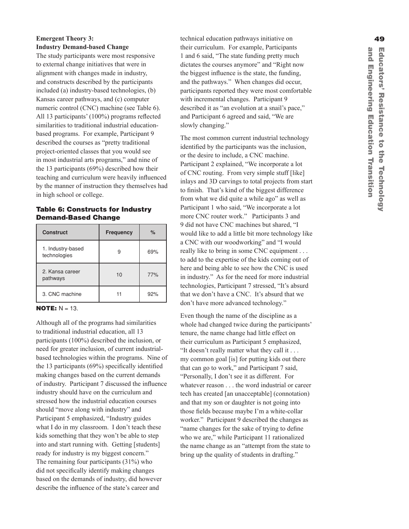# **Industry Demand-based Change**

The study participants were most responsive to external change initiatives that were in alignment with changes made in industry, and constructs described by the participants included (a) industry-based technologies, (b) Kansas career pathways, and (c) computer numeric control (CNC) machine (see Table 6). All 13 participants' (100%) programs reflected similarities to traditional industrial educationbased programs. For example, Participant 9 described the courses as "pretty traditional project-oriented classes that you would see in most industrial arts programs," and nine of the 13 participants (69%) described how their teaching and curriculum were heavily influenced by the manner of instruction they themselves had in high school or college.

## Table 6: Constructs for Industry Demand-Based Change

| <b>Construct</b>                  | <b>Frequency</b> | $\%$ |
|-----------------------------------|------------------|------|
| 1. Industry-based<br>technologies |                  | 69%  |
| 2. Kansa career<br>pathways       | 10               | 77%  |
| 3. CNC machine                    |                  | 92%  |

## **NOTE:**  $N = 13$ .

Although all of the programs had similarities to traditional industrial education, all 13 participants (100%) described the inclusion, or need for greater inclusion, of current industrialbased technologies within the programs. Nine of the 13 participants (69%) specifically identified making changes based on the current demands of industry. Participant 7 discussed the influence industry should have on the curriculum and stressed how the industrial education courses should "move along with industry" and Participant 5 emphasized, "Industry guides what I do in my classroom. I don't teach these kids something that they won't be able to step into and start running with. Getting [students] ready for industry is my biggest concern." The remaining four participants (31%) who did not specifically identify making changes based on the demands of industry, did however describe the influence of the state's career and

**Emergent Theory 3: 49** technical education pathways initiative on their curriculum. For example, Participants 1 and 6 said, "The state funding pretty much dictates the courses anymore" and "Right now the biggest influence is the state, the funding, and the pathways." When changes did occur, participants reported they were most comfortable with incremental changes. Participant 9 described it as "an evolution at a snail's pace," and Participant 6 agreed and said, "We are slowly changing."

> The most common current industrial technology identified by the participants was the inclusion, or the desire to include, a CNC machine. Participant 2 explained, "We incorporate a lot of CNC routing. From very simple stuff [like] inlays and 3D carvings to total projects from start to finish. That's kind of the biggest difference from what we did quite a while ago" as well as Participant 1 who said, "We incorporate a lot more CNC router work." Participants 3 and 9 did not have CNC machines but shared, "I would like to add a little bit more technology like a CNC with our woodworking" and "I would really like to bring in some CNC equipment . . . to add to the expertise of the kids coming out of here and being able to see how the CNC is used in industry." As for the need for more industrial technologies, Participant 7 stressed, "It's absurd that we don't have a CNC. It's absurd that we don't have more advanced technology."

Even though the name of the discipline as a whole had changed twice during the participants' tenure, the name change had little effect on their curriculum as Participant 5 emphasized, "It doesn't really matter what they call it . . . my common goal [is] for putting kids out there that can go to work," and Participant 7 said, "Personally, I don't see it as different. For whatever reason . . . the word industrial or career tech has created [an unacceptable] (connotation) and that my son or daughter is not going into those fields because maybe I'm a white-collar worker." Participant 9 described the changes as "name changes for the sake of trying to define who we are," while Participant 11 rationalized the name change as an "attempt from the state to bring up the quality of students in drafting."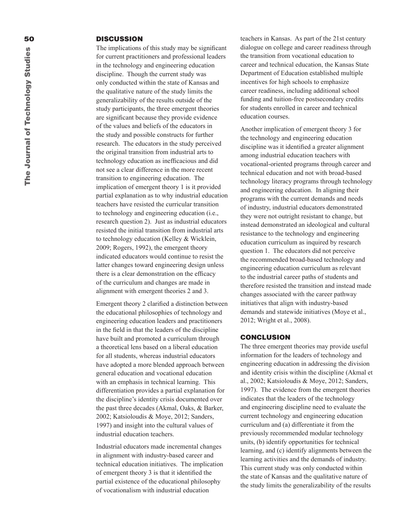#### **DISCUSSION**

The implications of this study may be significant for current practitioners and professional leaders in the technology and engineering education discipline. Though the current study was only conducted within the state of Kansas and the qualitative nature of the study limits the generalizability of the results outside of the study participants, the three emergent theories are significant because they provide evidence of the values and beliefs of the educators in the study and possible constructs for further research. The educators in the study perceived the original transition from industrial arts to technology education as inefficacious and did not see a clear difference in the more recent transition to engineering education. The implication of emergent theory 1 is it provided partial explanation as to why industrial education teachers have resisted the curricular transition to technology and engineering education (i.e., research question 2). Just as industrial educators resisted the initial transition from industrial arts to technology education (Kelley & Wicklein, 2009; Rogers, 1992), the emergent theory indicated educators would continue to resist the latter changes toward engineering design unless there is a clear demonstration on the efficacy of the curriculum and changes are made in alignment with emergent theories 2 and 3.

Emergent theory 2 clarified a distinction between the educational philosophies of technology and engineering education leaders and practitioners in the field in that the leaders of the discipline have built and promoted a curriculum through a theoretical lens based on a liberal education for all students, whereas industrial educators have adopted a more blended approach between general education and vocational education with an emphasis in technical learning. This differentiation provides a partial explanation for the discipline's identity crisis documented over the past three decades (Akmal, Oaks, & Barker, 2002; Katsioloudis & Moye, 2012; Sanders, 1997) and insight into the cultural values of industrial education teachers.

Industrial educators made incremental changes in alignment with industry-based career and technical education initiatives. The implication of emergent theory 3 is that it identified the partial existence of the educational philosophy of vocationalism with industrial education

teachers in Kansas. As part of the 21st century dialogue on college and career readiness through the transition from vocational education to career and technical education, the Kansas State Department of Education established multiple incentives for high schools to emphasize career readiness, including additional school funding and tuition-free postsecondary credits for students enrolled in career and technical education courses.

Another implication of emergent theory 3 for the technology and engineering education discipline was it identified a greater alignment among industrial education teachers with vocational-oriented programs through career and technical education and not with broad-based technology literacy programs through technology and engineering education. In aligning their programs with the current demands and needs of industry, industrial educators demonstrated they were not outright resistant to change, but instead demonstrated an ideological and cultural resistance to the technology and engineering education curriculum as inquired by research question 1. The educators did not perceive the recommended broad-based technology and engineering education curriculum as relevant to the industrial career paths of students and therefore resisted the transition and instead made changes associated with the career pathway initiatives that align with industry-based demands and statewide initiatives (Moye et al., 2012; Wright et al., 2008).

#### CONCLUSION

The three emergent theories may provide useful information for the leaders of technology and engineering education in addressing the division and identity crisis within the discipline (Akmal et al., 2002; Katsioloudis & Moye, 2012; Sanders, 1997). The evidence from the emergent theories indicates that the leaders of the technology and engineering discipline need to evaluate the current technology and engineering education curriculum and (a) differentiate it from the previously recommended modular technology units, (b) identify opportunities for technical learning, and (c) identify alignments between the learning activities and the demands of industry. This current study was only conducted within the state of Kansas and the qualitative nature of the study limits the generalizability of the results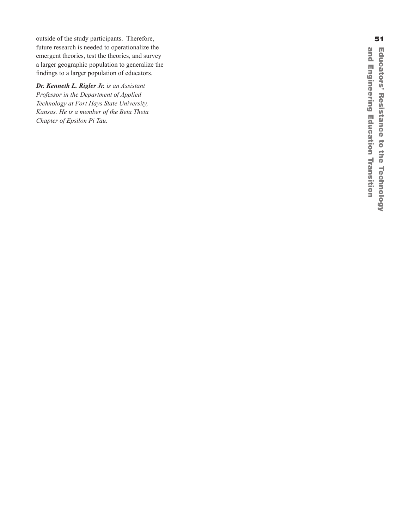outside of the study participants. Therefore, 51 future research is needed to operationalize the emergent theories, test the theories, and survey a larger geographic population to generalize the findings to a larger population of educators.

*Dr. Kenneth L. Rigler Jr. is an Assistant Professor in the Department of Applied Technology at Fort Hays State University, Kansas. He is a member of the Beta Theta Chapter of Epsilon Pi Tau.*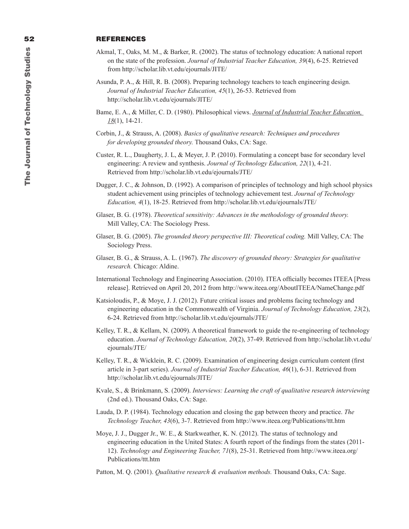### REFERENCES

- Akmal, T., Oaks, M. M., & Barker, R. (2002). The status of technology education: A national report on the state of the profession. *Journal of Industrial Teacher Education, 39*(4), 6-25. Retrieved from http://scholar.lib.vt.edu/ejournals/JITE/
- Asunda, P. A., & Hill, R. B. (2008). Preparing technology teachers to teach engineering design. *Journal of Industrial Teacher Education, 45*(1), 26-53. Retrieved from http://scholar.lib.vt.edu/ejournals/JITE/
- Bame, E. A., & Miller, C. D. (1980). Philosophical views. *Journal of Industrial Teacher Education, 18*(1), 14-21.
- Corbin, J., & Strauss, A. (2008). *Basics of qualitative research: Techniques and procedures for developing grounded theory.* Thousand Oaks, CA: Sage.
- Custer, R. L., Daugherty, J. L, & Meyer, J. P. (2010). Formulating a concept base for secondary level engineering: A review and synthesis. *Journal of Technology Education, 22*(1), 4-21. Retrieved from http://scholar.lib.vt.edu/ejournals/JTE/
- Dugger, J. C., & Johnson, D. (1992). A comparison of principles of technology and high school physics student achievement using principles of technology achievement test. *Journal of Technology Education, 4*(1), 18-25. Retrieved from http://scholar.lib.vt.edu/ejournals/JTE/
- Glaser, B. G. (1978). *Theoretical sensitivity: Advances in the methodology of grounded theory.* Mill Valley, CA: The Sociology Press.
- Glaser, B. G. (2005). *The grounded theory perspective III: Theoretical coding.* Mill Valley, CA: The Sociology Press.
- Glaser, B. G., & Strauss, A. L. (1967). *The discovery of grounded theory: Strategies for qualitative research.* Chicago: Aldine.
- International Technology and Engineering Association. (2010). ITEA officially becomes ITEEA [Press release]. Retrieved on April 20, 2012 from http://www.iteea.org/AboutITEEA/NameChange.pdf
- Katsioloudis, P., & Moye, J. J. (2012). Future critical issues and problems facing technology and engineering education in the Commonwealth of Virginia. *Journal of Technology Education, 23*(2), 6-24. Retrieved from http://scholar.lib.vt.edu/ejournals/JTE/
- Kelley, T. R., & Kellam, N. (2009). A theoretical framework to guide the re-engineering of technology education. *Journal of Technology Education, 20*(2), 37-49. Retrieved from http://scholar.lib.vt.edu/ ejournals/JTE/
- Kelley, T. R., & Wicklein, R. C. (2009). Examination of engineering design curriculum content (first article in 3-part series). *Journal of Industrial Teacher Education, 46*(1), 6-31. Retrieved from http://scholar.lib.vt.edu/ejournals/JITE/
- Kvale, S., & Brinkmann, S. (2009). *Interviews: Learning the craft of qualitative research interviewing* (2nd ed.). Thousand Oaks, CA: Sage.
- Lauda, D. P. (1984). Technology education and closing the gap between theory and practice. *The Technology Teacher, 43*(6), 3-7. Retrieved from http://www.iteea.org/Publications/ttt.htm
- Moye, J. J., Dugger Jr., W. E., & Starkweather, K. N. (2012). The status of technology and engineering education in the United States: A fourth report of the findings from the states (2011- 12). *Technology and Engineering Teacher, 71*(8), 25-31. Retrieved from http://www.iteea.org/ Publications/ttt.htm
- Patton, M. Q. (2001). *Qualitative research & evaluation methods.* Thousand Oaks, CA: Sage.